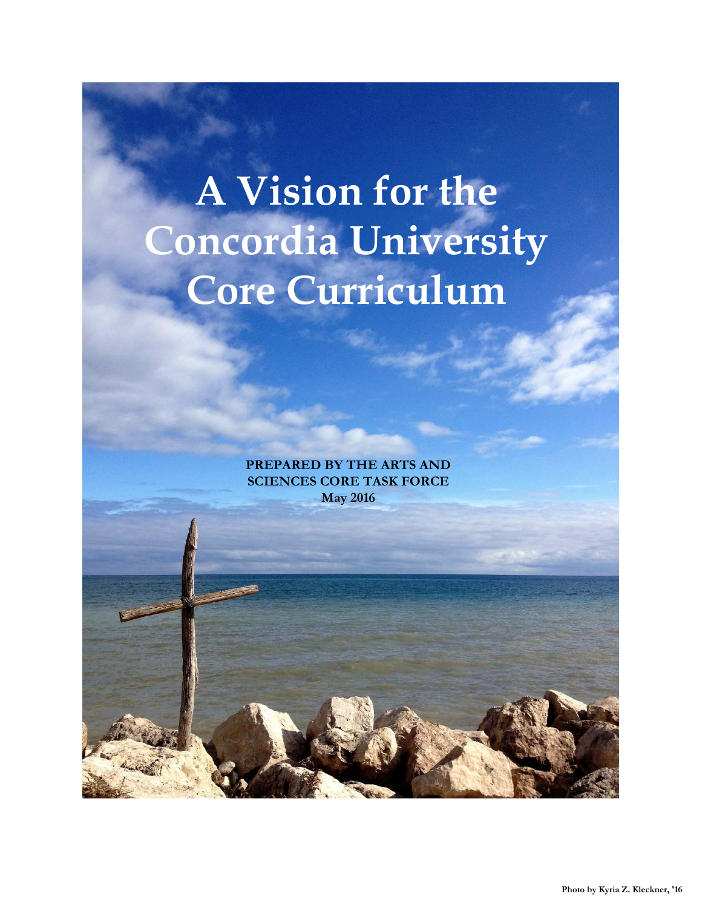# **A Vision for the Concordia University Core Curriculum**

**PREPARED BY THE ARTS AND SCIENCES CORE TASK FORCE May 2016**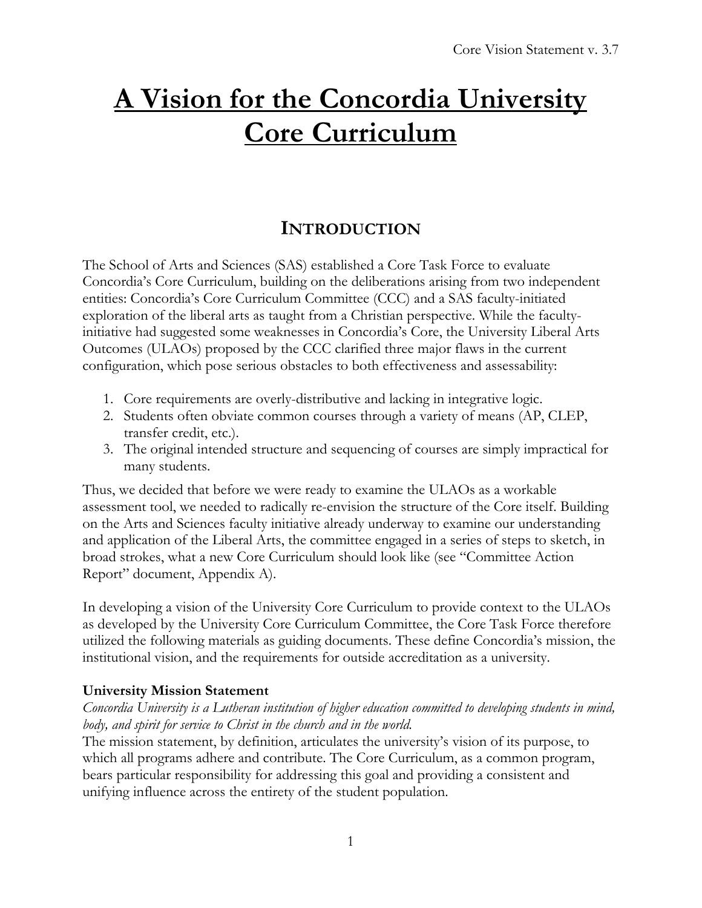# **A Vision for the Concordia University Core Curriculum**

# **INTRODUCTION**

The School of Arts and Sciences (SAS) established a Core Task Force to evaluate Concordia's Core Curriculum, building on the deliberations arising from two independent entities: Concordia's Core Curriculum Committee (CCC) and a SAS faculty-initiated exploration of the liberal arts as taught from a Christian perspective. While the facultyinitiative had suggested some weaknesses in Concordia's Core, the University Liberal Arts Outcomes (ULAOs) proposed by the CCC clarified three major flaws in the current configuration, which pose serious obstacles to both effectiveness and assessability:

- 1. Core requirements are overly-distributive and lacking in integrative logic.
- 2. Students often obviate common courses through a variety of means (AP, CLEP, transfer credit, etc.).
- 3. The original intended structure and sequencing of courses are simply impractical for many students.

Thus, we decided that before we were ready to examine the ULAOs as a workable assessment tool, we needed to radically re-envision the structure of the Core itself. Building on the Arts and Sciences faculty initiative already underway to examine our understanding and application of the Liberal Arts, the committee engaged in a series of steps to sketch, in broad strokes, what a new Core Curriculum should look like (see "Committee Action Report" document, Appendix A).

In developing a vision of the University Core Curriculum to provide context to the ULAOs as developed by the University Core Curriculum Committee, the Core Task Force therefore utilized the following materials as guiding documents. These define Concordia's mission, the institutional vision, and the requirements for outside accreditation as a university.

#### **University Mission Statement**

#### *Concordia University is a Lutheran institution of higher education committed to developing students in mind, body, and spirit for service to Christ in the church and in the world.*

The mission statement, by definition, articulates the university's vision of its purpose, to which all programs adhere and contribute. The Core Curriculum, as a common program, bears particular responsibility for addressing this goal and providing a consistent and unifying influence across the entirety of the student population.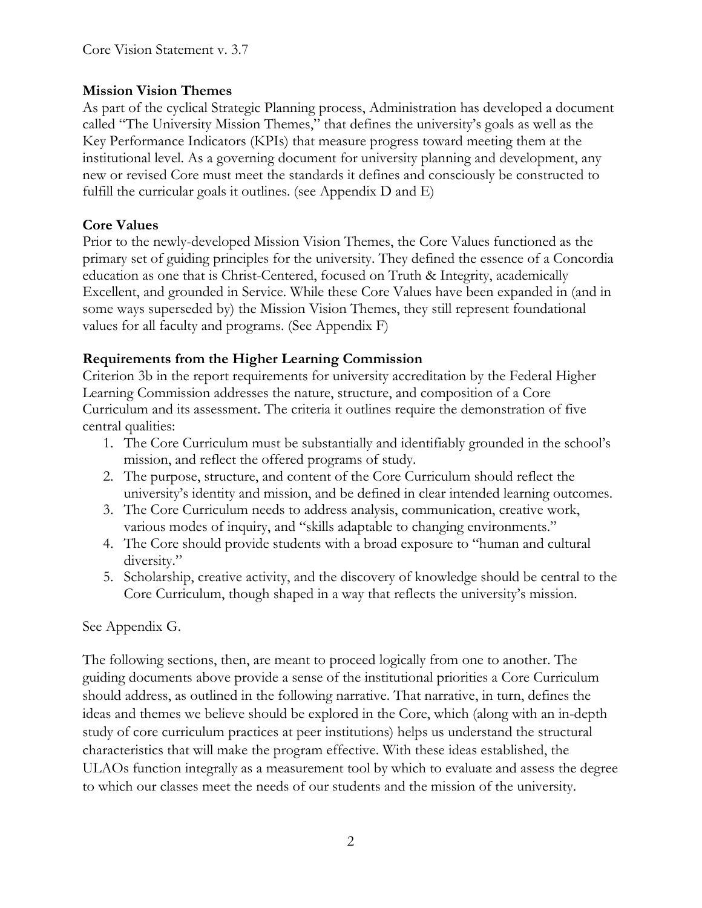#### **Mission Vision Themes**

As part of the cyclical Strategic Planning process, Administration has developed a document called "The University Mission Themes," that defines the university's goals as well as the Key Performance Indicators (KPIs) that measure progress toward meeting them at the institutional level. As a governing document for university planning and development, any new or revised Core must meet the standards it defines and consciously be constructed to fulfill the curricular goals it outlines. (see Appendix D and E)

#### **Core Values**

Prior to the newly-developed Mission Vision Themes, the Core Values functioned as the primary set of guiding principles for the university. They defined the essence of a Concordia education as one that is Christ-Centered, focused on Truth & Integrity, academically Excellent, and grounded in Service. While these Core Values have been expanded in (and in some ways superseded by) the Mission Vision Themes, they still represent foundational values for all faculty and programs. (See Appendix F)

#### **Requirements from the Higher Learning Commission**

Criterion 3b in the report requirements for university accreditation by the Federal Higher Learning Commission addresses the nature, structure, and composition of a Core Curriculum and its assessment. The criteria it outlines require the demonstration of five central qualities:

- 1. The Core Curriculum must be substantially and identifiably grounded in the school's mission, and reflect the offered programs of study.
- 2. The purpose, structure, and content of the Core Curriculum should reflect the university's identity and mission, and be defined in clear intended learning outcomes.
- 3. The Core Curriculum needs to address analysis, communication, creative work, various modes of inquiry, and "skills adaptable to changing environments."
- 4. The Core should provide students with a broad exposure to "human and cultural diversity."
- 5. Scholarship, creative activity, and the discovery of knowledge should be central to the Core Curriculum, though shaped in a way that reflects the university's mission.

#### See Appendix G.

The following sections, then, are meant to proceed logically from one to another. The guiding documents above provide a sense of the institutional priorities a Core Curriculum should address, as outlined in the following narrative. That narrative, in turn, defines the ideas and themes we believe should be explored in the Core, which (along with an in-depth study of core curriculum practices at peer institutions) helps us understand the structural characteristics that will make the program effective. With these ideas established, the ULAOs function integrally as a measurement tool by which to evaluate and assess the degree to which our classes meet the needs of our students and the mission of the university.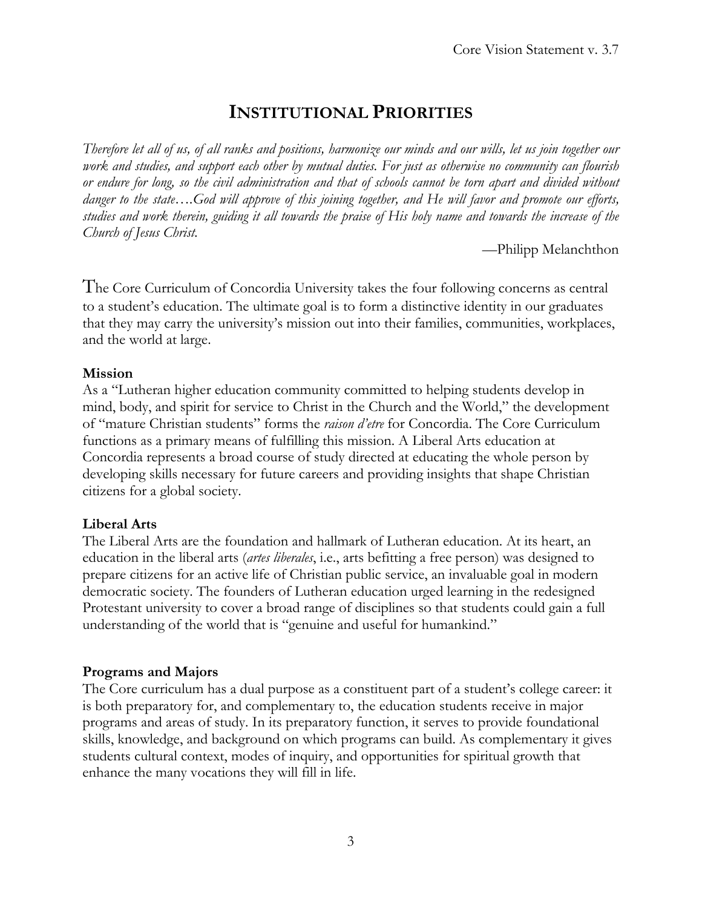# **INSTITUTIONAL PRIORITIES**

*Therefore let all of us, of all ranks and positions, harmonize our minds and our wills, let us join together our work and studies, and support each other by mutual duties. For just as otherwise no community can flourish or endure for long, so the civil administration and that of schools cannot be torn apart and divided without danger to the state….God will approve of this joining together, and He will favor and promote our efforts, studies and work therein, guiding it all towards the praise of His holy name and towards the increase of the Church of Jesus Christ.*

—Philipp Melanchthon

The Core Curriculum of Concordia University takes the four following concerns as central to a student's education. The ultimate goal is to form a distinctive identity in our graduates that they may carry the university's mission out into their families, communities, workplaces, and the world at large.

#### **Mission**

As a "Lutheran higher education community committed to helping students develop in mind, body, and spirit for service to Christ in the Church and the World," the development of "mature Christian students" forms the *raison d'etre* for Concordia. The Core Curriculum functions as a primary means of fulfilling this mission. A Liberal Arts education at Concordia represents a broad course of study directed at educating the whole person by developing skills necessary for future careers and providing insights that shape Christian citizens for a global society.

#### **Liberal Arts**

The Liberal Arts are the foundation and hallmark of Lutheran education. At its heart, an education in the liberal arts (*artes liberales*, i.e., arts befitting a free person) was designed to prepare citizens for an active life of Christian public service, an invaluable goal in modern democratic society. The founders of Lutheran education urged learning in the redesigned Protestant university to cover a broad range of disciplines so that students could gain a full understanding of the world that is "genuine and useful for humankind."

#### **Programs and Majors**

The Core curriculum has a dual purpose as a constituent part of a student's college career: it is both preparatory for, and complementary to, the education students receive in major programs and areas of study. In its preparatory function, it serves to provide foundational skills, knowledge, and background on which programs can build. As complementary it gives students cultural context, modes of inquiry, and opportunities for spiritual growth that enhance the many vocations they will fill in life.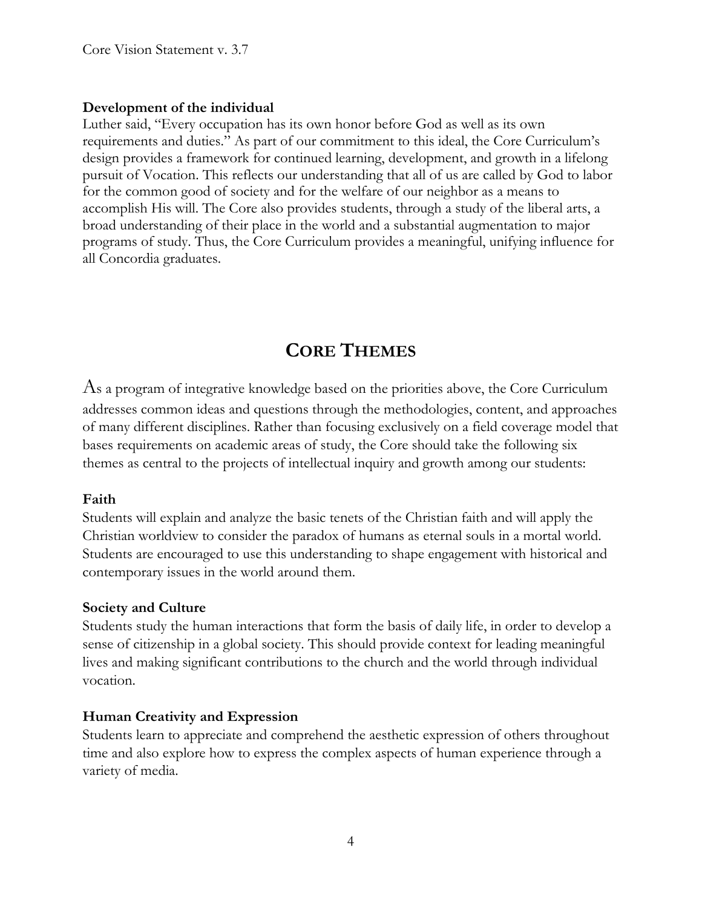#### **Development of the individual**

Luther said, "Every occupation has its own honor before God as well as its own requirements and duties." As part of our commitment to this ideal, the Core Curriculum's design provides a framework for continued learning, development, and growth in a lifelong pursuit of Vocation. This reflects our understanding that all of us are called by God to labor for the common good of society and for the welfare of our neighbor as a means to accomplish His will. The Core also provides students, through a study of the liberal arts, a broad understanding of their place in the world and a substantial augmentation to major programs of study. Thus, the Core Curriculum provides a meaningful, unifying influence for all Concordia graduates.

# **CORE THEMES**

As a program of integrative knowledge based on the priorities above, the Core Curriculum addresses common ideas and questions through the methodologies, content, and approaches of many different disciplines. Rather than focusing exclusively on a field coverage model that bases requirements on academic areas of study, the Core should take the following six themes as central to the projects of intellectual inquiry and growth among our students:

#### **Faith**

Students will explain and analyze the basic tenets of the Christian faith and will apply the Christian worldview to consider the paradox of humans as eternal souls in a mortal world. Students are encouraged to use this understanding to shape engagement with historical and contemporary issues in the world around them.

#### **Society and Culture**

Students study the human interactions that form the basis of daily life, in order to develop a sense of citizenship in a global society. This should provide context for leading meaningful lives and making significant contributions to the church and the world through individual vocation.

#### **Human Creativity and Expression**

Students learn to appreciate and comprehend the aesthetic expression of others throughout time and also explore how to express the complex aspects of human experience through a variety of media.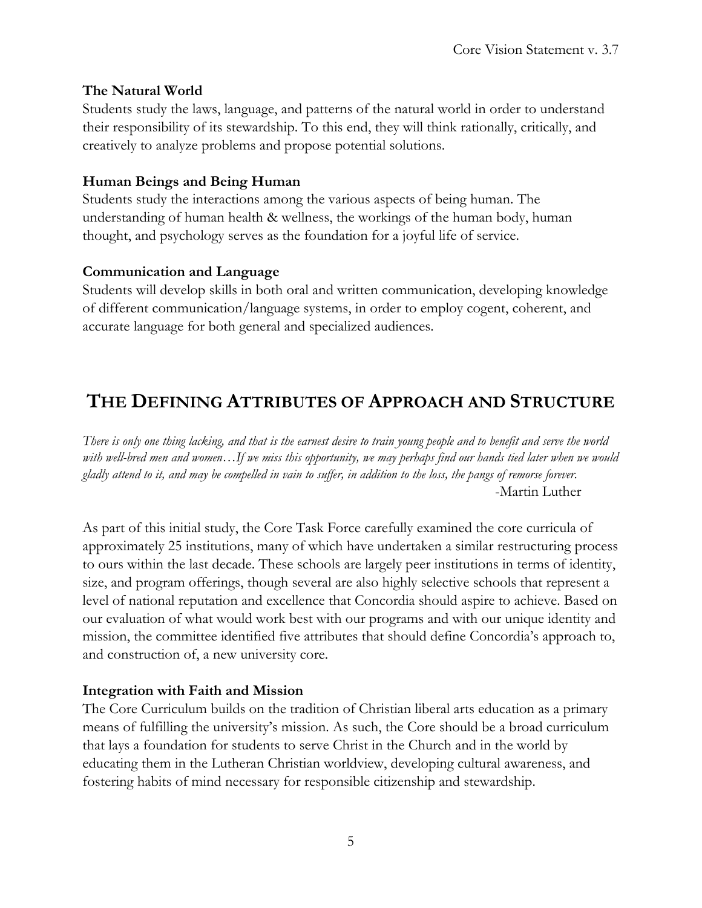#### **The Natural World**

Students study the laws, language, and patterns of the natural world in order to understand their responsibility of its stewardship. To this end, they will think rationally, critically, and creatively to analyze problems and propose potential solutions.

#### **Human Beings and Being Human**

Students study the interactions among the various aspects of being human. The understanding of human health & wellness, the workings of the human body, human thought, and psychology serves as the foundation for a joyful life of service.

#### **Communication and Language**

Students will develop skills in both oral and written communication, developing knowledge of different communication/language systems, in order to employ cogent, coherent, and accurate language for both general and specialized audiences.

# **THE DEFINING ATTRIBUTES OF APPROACH AND STRUCTURE**

*There is only one thing lacking, and that is the earnest desire to train young people and to benefit and serve the world with well-bred men and women…If we miss this opportunity, we may perhaps find our hands tied later when we would gladly attend to it, and may be compelled in vain to suffer, in addition to the loss, the pangs of remorse forever.*  -Martin Luther

As part of this initial study, the Core Task Force carefully examined the core curricula of approximately 25 institutions, many of which have undertaken a similar restructuring process to ours within the last decade. These schools are largely peer institutions in terms of identity, size, and program offerings, though several are also highly selective schools that represent a level of national reputation and excellence that Concordia should aspire to achieve. Based on our evaluation of what would work best with our programs and with our unique identity and mission, the committee identified five attributes that should define Concordia's approach to, and construction of, a new university core.

#### **Integration with Faith and Mission**

The Core Curriculum builds on the tradition of Christian liberal arts education as a primary means of fulfilling the university's mission. As such, the Core should be a broad curriculum that lays a foundation for students to serve Christ in the Church and in the world by educating them in the Lutheran Christian worldview, developing cultural awareness, and fostering habits of mind necessary for responsible citizenship and stewardship.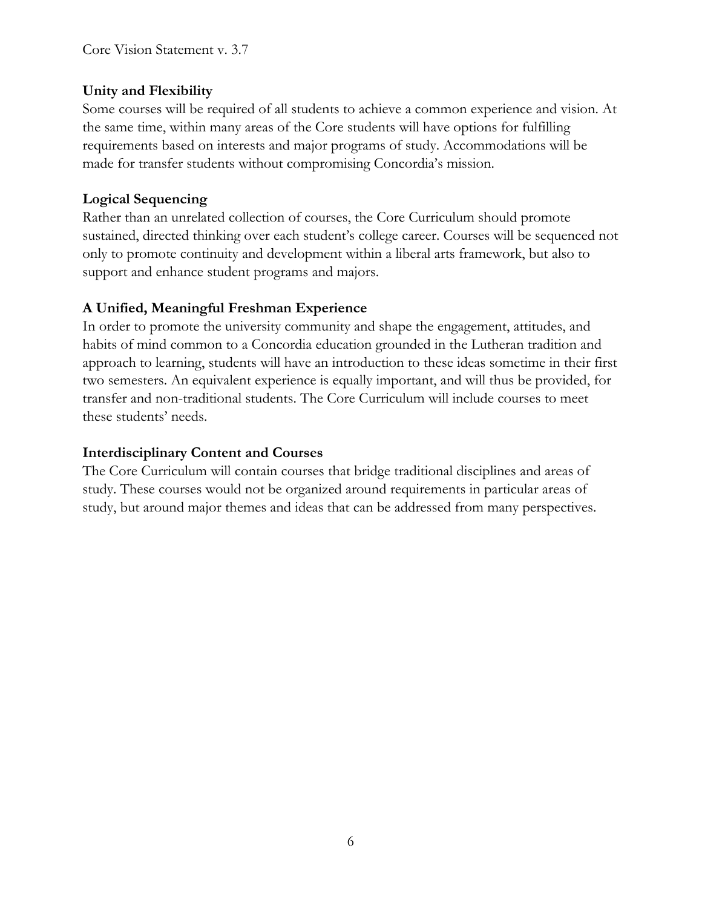#### **Unity and Flexibility**

Some courses will be required of all students to achieve a common experience and vision. At the same time, within many areas of the Core students will have options for fulfilling requirements based on interests and major programs of study. Accommodations will be made for transfer students without compromising Concordia's mission.

#### **Logical Sequencing**

Rather than an unrelated collection of courses, the Core Curriculum should promote sustained, directed thinking over each student's college career. Courses will be sequenced not only to promote continuity and development within a liberal arts framework, but also to support and enhance student programs and majors.

#### **A Unified, Meaningful Freshman Experience**

In order to promote the university community and shape the engagement, attitudes, and habits of mind common to a Concordia education grounded in the Lutheran tradition and approach to learning, students will have an introduction to these ideas sometime in their first two semesters. An equivalent experience is equally important, and will thus be provided, for transfer and non-traditional students. The Core Curriculum will include courses to meet these students' needs.

#### **Interdisciplinary Content and Courses**

The Core Curriculum will contain courses that bridge traditional disciplines and areas of study. These courses would not be organized around requirements in particular areas of study, but around major themes and ideas that can be addressed from many perspectives.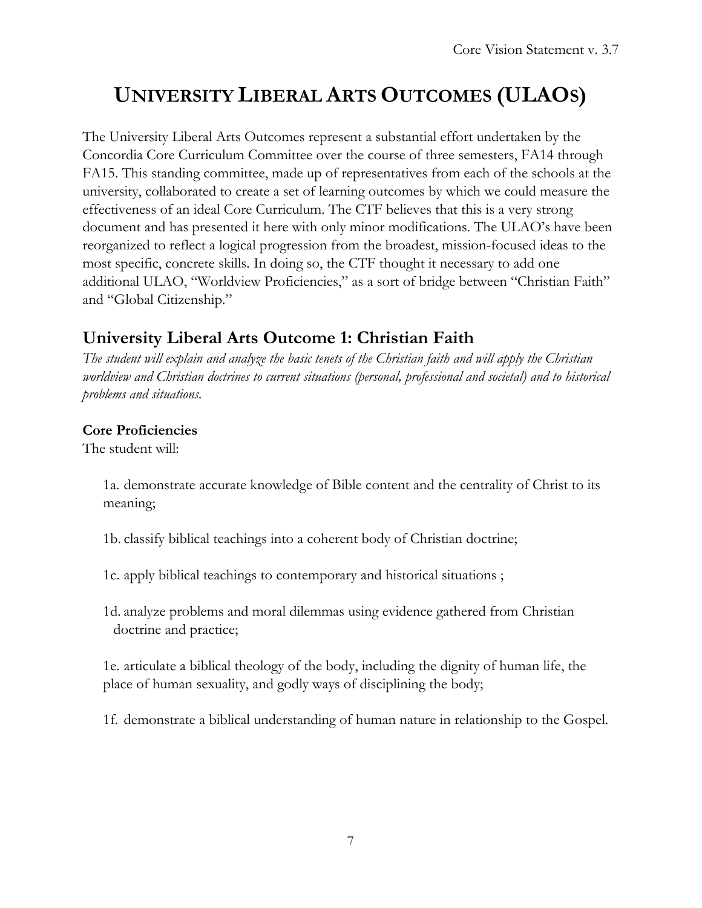# **UNIVERSITY LIBERAL ARTS OUTCOMES (ULAOS)**

The University Liberal Arts Outcomes represent a substantial effort undertaken by the Concordia Core Curriculum Committee over the course of three semesters, FA14 through FA15. This standing committee, made up of representatives from each of the schools at the university, collaborated to create a set of learning outcomes by which we could measure the effectiveness of an ideal Core Curriculum. The CTF believes that this is a very strong document and has presented it here with only minor modifications. The ULAO's have been reorganized to reflect a logical progression from the broadest, mission-focused ideas to the most specific, concrete skills. In doing so, the CTF thought it necessary to add one additional ULAO, "Worldview Proficiencies," as a sort of bridge between "Christian Faith" and "Global Citizenship."

#### **University Liberal Arts Outcome 1: Christian Faith**

*The student will explain and analyze the basic tenets of the Christian faith and will apply the Christian worldview and Christian doctrines to current situations (personal, professional and societal) and to historical problems and situations.*

#### **Core Proficiencies**

The student will:

1a. demonstrate accurate knowledge of Bible content and the centrality of Christ to its meaning;

1b. classify biblical teachings into a coherent body of Christian doctrine;

- 1c. apply biblical teachings to contemporary and historical situations ;
- 1d. analyze problems and moral dilemmas using evidence gathered from Christian doctrine and practice;

1e. articulate a biblical theology of the body, including the dignity of human life, the place of human sexuality, and godly ways of disciplining the body;

1f. demonstrate a biblical understanding of human nature in relationship to the Gospel.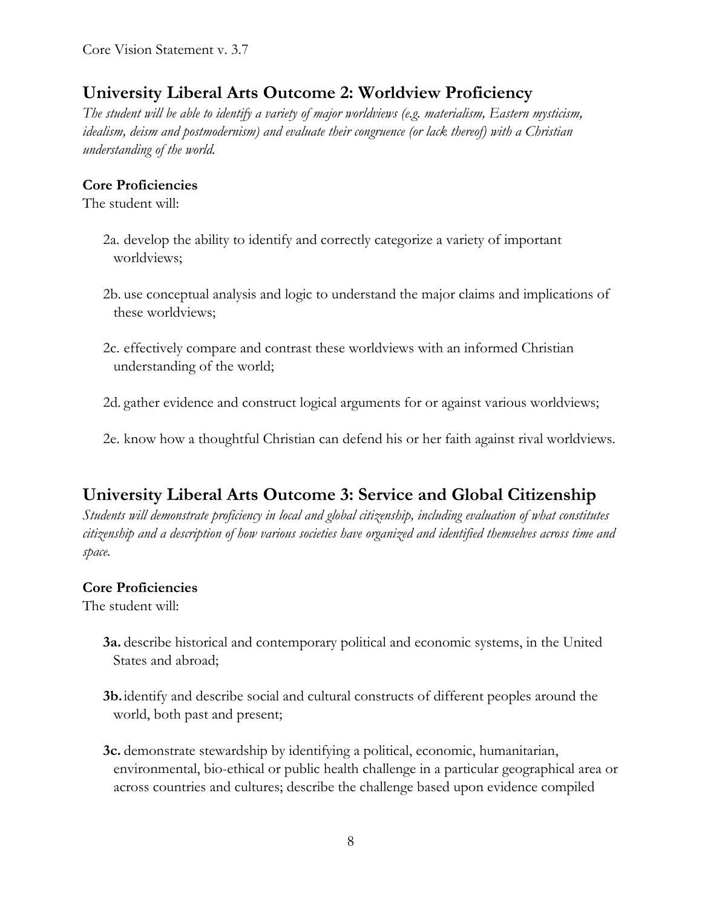# **University Liberal Arts Outcome 2: Worldview Proficiency**

*The student will be able to identify a variety of major worldviews (e.g. materialism, Eastern mysticism, idealism, deism and postmodernism) and evaluate their congruence (or lack thereof) with a Christian understanding of the world.* 

#### **Core Proficiencies**

The student will:

- 2a. develop the ability to identify and correctly categorize a variety of important worldviews;
- 2b. use conceptual analysis and logic to understand the major claims and implications of these worldviews;
- 2c. effectively compare and contrast these worldviews with an informed Christian understanding of the world;
- 2d. gather evidence and construct logical arguments for or against various worldviews;
- 2e. know how a thoughtful Christian can defend his or her faith against rival worldviews.

## **University Liberal Arts Outcome 3: Service and Global Citizenship**

*Students will demonstrate proficiency in local and global citizenship, including evaluation of what constitutes citizenship and a description of how various societies have organized and identified themselves across time and space.* 

#### **Core Proficiencies**

The student will:

- **3a.** describe historical and contemporary political and economic systems, in the United States and abroad;
- **3b.** identify and describe social and cultural constructs of different peoples around the world, both past and present;
- **3c.** demonstrate stewardship by identifying a political, economic, humanitarian, environmental, bio-ethical or public health challenge in a particular geographical area or across countries and cultures; describe the challenge based upon evidence compiled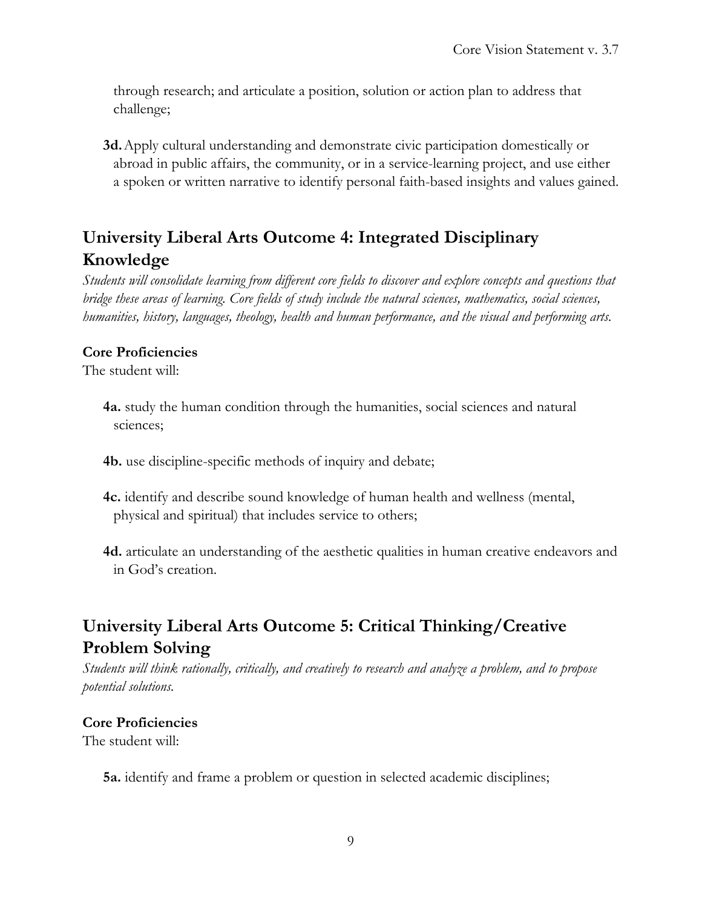through research; and articulate a position, solution or action plan to address that challenge;

**3d.** Apply cultural understanding and demonstrate civic participation domestically or abroad in public affairs, the community, or in a service-learning project, and use either a spoken or written narrative to identify personal faith-based insights and values gained.

# **University Liberal Arts Outcome 4: Integrated Disciplinary Knowledge**

*Students will consolidate learning from different core fields to discover and explore concepts and questions that bridge these areas of learning. Core fields of study include the natural sciences, mathematics, social sciences, humanities, history, languages, theology, health and human performance, and the visual and performing arts.* 

#### **Core Proficiencies**

The student will:

- **4a.** study the human condition through the humanities, social sciences and natural sciences;
- **4b.** use discipline-specific methods of inquiry and debate;
- **4c.** identify and describe sound knowledge of human health and wellness (mental, physical and spiritual) that includes service to others;
- **4d.** articulate an understanding of the aesthetic qualities in human creative endeavors and in God's creation.

# **University Liberal Arts Outcome 5: Critical Thinking/Creative Problem Solving**

*Students will think rationally, critically, and creatively to research and analyze a problem, and to propose potential solutions.*

#### **Core Proficiencies**

The student will:

**5a.** identify and frame a problem or question in selected academic disciplines;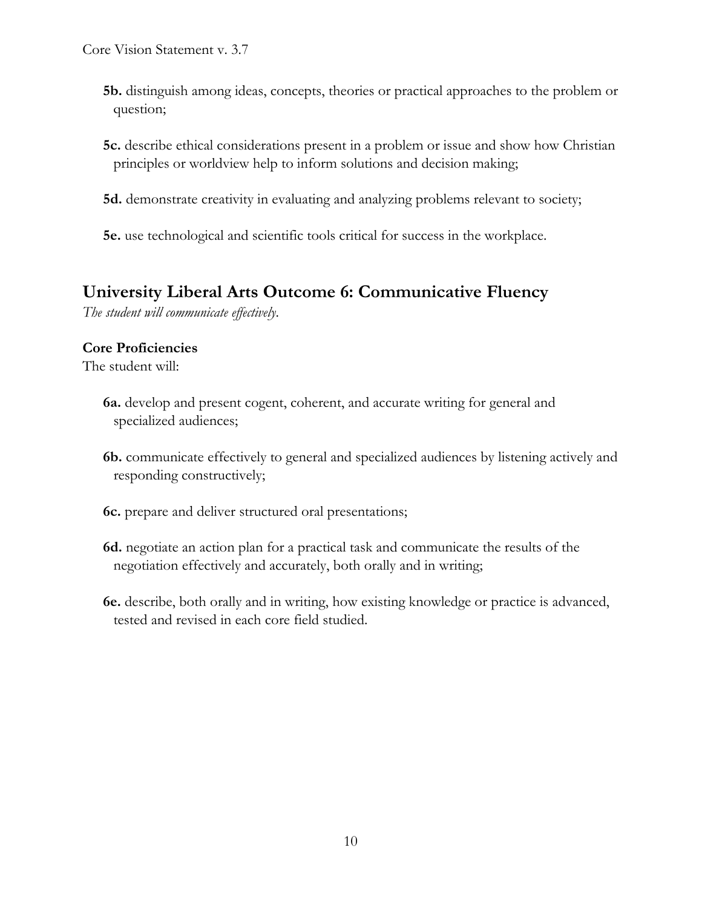- **5b.** distinguish among ideas, concepts, theories or practical approaches to the problem or question;
- **5c.** describe ethical considerations present in a problem or issue and show how Christian principles or worldview help to inform solutions and decision making;
- **5d.** demonstrate creativity in evaluating and analyzing problems relevant to society;
- **5e.** use technological and scientific tools critical for success in the workplace.

# **University Liberal Arts Outcome 6: Communicative Fluency**

*The student will communicate effectively*.

#### **Core Proficiencies**

The student will:

- **6a.** develop and present cogent, coherent, and accurate writing for general and specialized audiences;
- **6b.** communicate effectively to general and specialized audiences by listening actively and responding constructively;
- **6c.** prepare and deliver structured oral presentations;
- **6d.** negotiate an action plan for a practical task and communicate the results of the negotiation effectively and accurately, both orally and in writing;
- **6e.** describe, both orally and in writing, how existing knowledge or practice is advanced, tested and revised in each core field studied.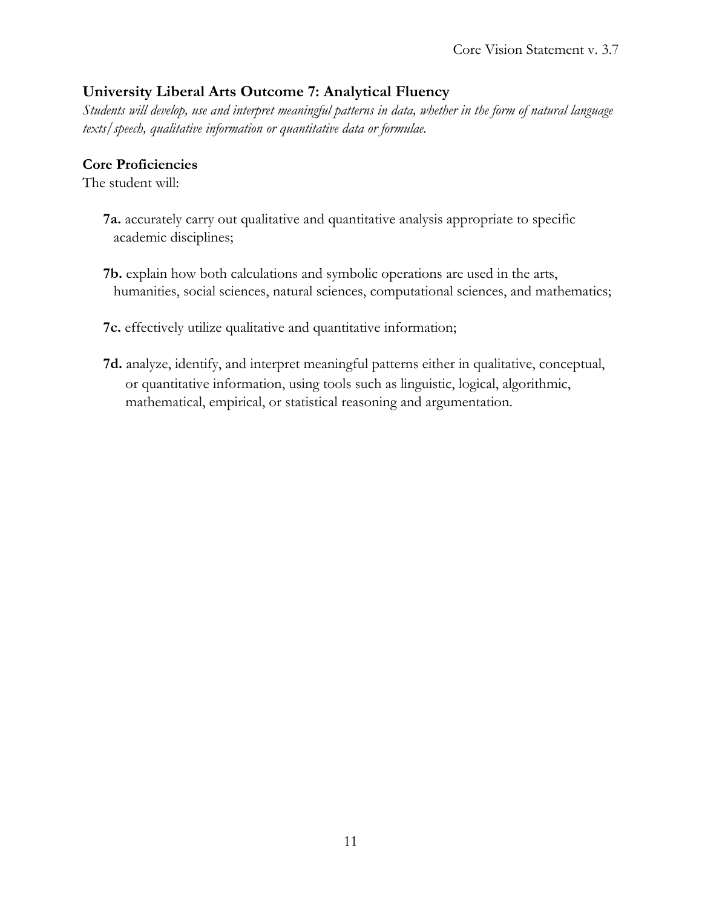#### **University Liberal Arts Outcome 7: Analytical Fluency**

*Students will develop, use and interpret meaningful patterns in data, whether in the form of natural language texts/speech, qualitative information or quantitative data or formulae.* 

#### **Core Proficiencies**

The student will:

- **7a.** accurately carry out qualitative and quantitative analysis appropriate to specific academic disciplines;
- **7b.** explain how both calculations and symbolic operations are used in the arts, humanities, social sciences, natural sciences, computational sciences, and mathematics;

#### **7c.** effectively utilize qualitative and quantitative information;

**7d.** analyze, identify, and interpret meaningful patterns either in qualitative, conceptual, or quantitative information, using tools such as linguistic, logical, algorithmic, mathematical, empirical, or statistical reasoning and argumentation.